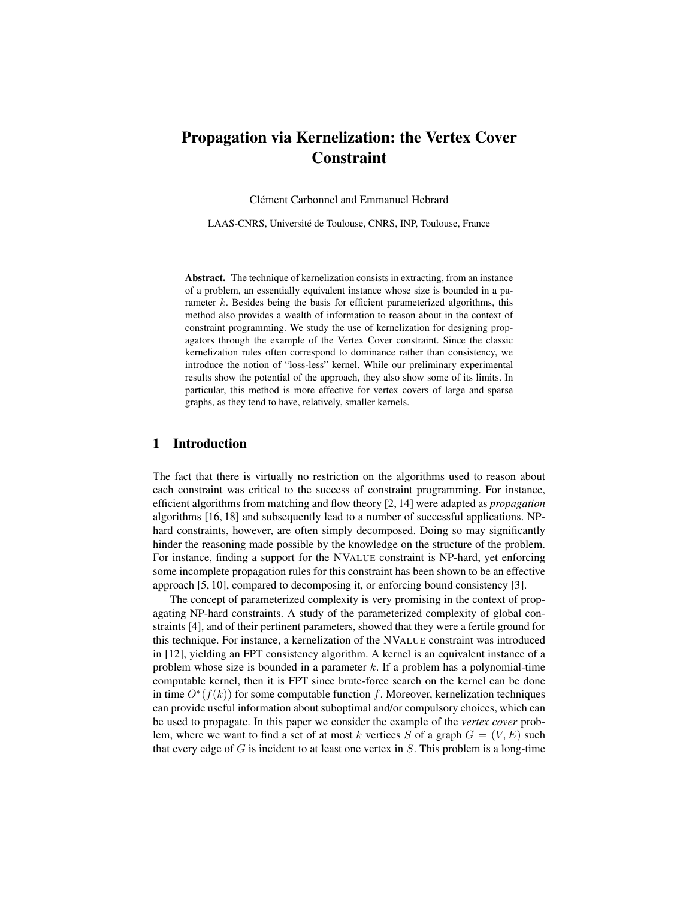# Propagation via Kernelization: the Vertex Cover Constraint

Clément Carbonnel and Emmanuel Hebrard

LAAS-CNRS, Universite de Toulouse, CNRS, INP, Toulouse, France ´

Abstract. The technique of kernelization consists in extracting, from an instance of a problem, an essentially equivalent instance whose size is bounded in a parameter k. Besides being the basis for efficient parameterized algorithms, this method also provides a wealth of information to reason about in the context of constraint programming. We study the use of kernelization for designing propagators through the example of the Vertex Cover constraint. Since the classic kernelization rules often correspond to dominance rather than consistency, we introduce the notion of "loss-less" kernel. While our preliminary experimental results show the potential of the approach, they also show some of its limits. In particular, this method is more effective for vertex covers of large and sparse graphs, as they tend to have, relatively, smaller kernels.

# 1 Introduction

The fact that there is virtually no restriction on the algorithms used to reason about each constraint was critical to the success of constraint programming. For instance, efficient algorithms from matching and flow theory [2, 14] were adapted as *propagation* algorithms [16, 18] and subsequently lead to a number of successful applications. NPhard constraints, however, are often simply decomposed. Doing so may significantly hinder the reasoning made possible by the knowledge on the structure of the problem. For instance, finding a support for the NVALUE constraint is NP-hard, yet enforcing some incomplete propagation rules for this constraint has been shown to be an effective approach [5, 10], compared to decomposing it, or enforcing bound consistency [3].

The concept of parameterized complexity is very promising in the context of propagating NP-hard constraints. A study of the parameterized complexity of global constraints [4], and of their pertinent parameters, showed that they were a fertile ground for this technique. For instance, a kernelization of the NVALUE constraint was introduced in [12], yielding an FPT consistency algorithm. A kernel is an equivalent instance of a problem whose size is bounded in a parameter  $k$ . If a problem has a polynomial-time computable kernel, then it is FPT since brute-force search on the kernel can be done in time  $O^*(f(k))$  for some computable function f. Moreover, kernelization techniques can provide useful information about suboptimal and/or compulsory choices, which can be used to propagate. In this paper we consider the example of the *vertex cover* problem, where we want to find a set of at most k vertices S of a graph  $G = (V, E)$  such that every edge of  $G$  is incident to at least one vertex in  $S$ . This problem is a long-time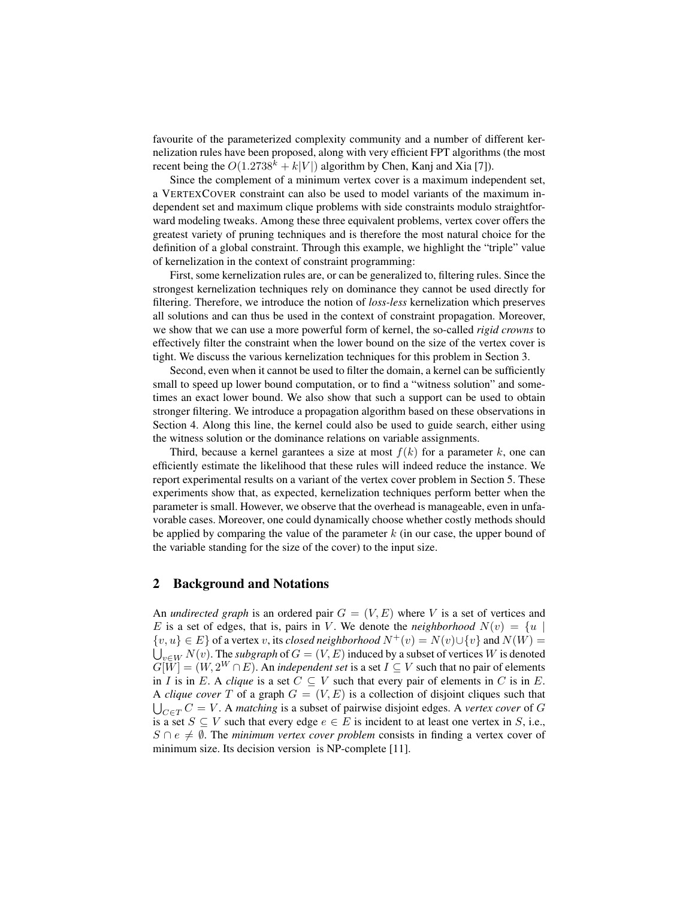favourite of the parameterized complexity community and a number of different kernelization rules have been proposed, along with very efficient FPT algorithms (the most recent being the  $O(1.2738<sup>k</sup> + k|V|)$  algorithm by Chen, Kanj and Xia [7]).

Since the complement of a minimum vertex cover is a maximum independent set, a VERTEXCOVER constraint can also be used to model variants of the maximum independent set and maximum clique problems with side constraints modulo straightforward modeling tweaks. Among these three equivalent problems, vertex cover offers the greatest variety of pruning techniques and is therefore the most natural choice for the definition of a global constraint. Through this example, we highlight the "triple" value of kernelization in the context of constraint programming:

First, some kernelization rules are, or can be generalized to, filtering rules. Since the strongest kernelization techniques rely on dominance they cannot be used directly for filtering. Therefore, we introduce the notion of *loss-less* kernelization which preserves all solutions and can thus be used in the context of constraint propagation. Moreover, we show that we can use a more powerful form of kernel, the so-called *rigid crowns* to effectively filter the constraint when the lower bound on the size of the vertex cover is tight. We discuss the various kernelization techniques for this problem in Section 3.

Second, even when it cannot be used to filter the domain, a kernel can be sufficiently small to speed up lower bound computation, or to find a "witness solution" and sometimes an exact lower bound. We also show that such a support can be used to obtain stronger filtering. We introduce a propagation algorithm based on these observations in Section 4. Along this line, the kernel could also be used to guide search, either using the witness solution or the dominance relations on variable assignments.

Third, because a kernel garantees a size at most  $f(k)$  for a parameter k, one can efficiently estimate the likelihood that these rules will indeed reduce the instance. We report experimental results on a variant of the vertex cover problem in Section 5. These experiments show that, as expected, kernelization techniques perform better when the parameter is small. However, we observe that the overhead is manageable, even in unfavorable cases. Moreover, one could dynamically choose whether costly methods should be applied by comparing the value of the parameter  $k$  (in our case, the upper bound of the variable standing for the size of the cover) to the input size.

## 2 Background and Notations

An *undirected graph* is an ordered pair  $G = (V, E)$  where V is a set of vertices and E is a set of edges, that is, pairs in V. We denote the *neighborhood*  $N(v) = \{u \mid$  $\{v, u\} \in E$  of a vertex v, its *closed neighborhood*  $N^+(v) = N(v) \cup \{v\}$  and  $N(W) =$  $\bigcup_{v\in W}N(v).$  The *subgraph* of  $G=(V,E)$  induced by a subset of vertices  $W$  is denoted  $G[W] = (W, 2^W \cap E)$ . An *independent set* is a set  $I \subseteq V$  such that no pair of elements in I is in E. A *clique* is a set  $C \subseteq V$  such that every pair of elements in C is in E. A *clique cover* T of a graph  $G = (V, E)$  is a collection of disjoint cliques such that  $\bigcup_{C \in T} C = V$ . A *matching* is a subset of pairwise disjoint edges. A *vertex cover* of G is a set  $S \subseteq V$  such that every edge  $e \in E$  is incident to at least one vertex in S, i.e.,  $S \cap e \neq \emptyset$ . The *minimum vertex cover problem* consists in finding a vertex cover of minimum size. Its decision version is NP-complete [11].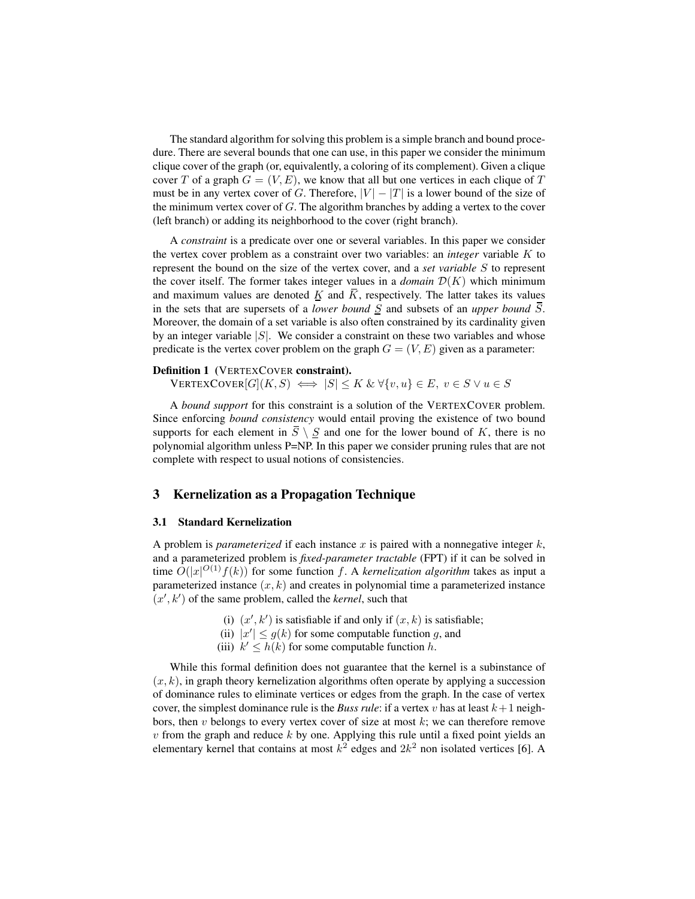The standard algorithm for solving this problem is a simple branch and bound procedure. There are several bounds that one can use, in this paper we consider the minimum clique cover of the graph (or, equivalently, a coloring of its complement). Given a clique cover T of a graph  $G = (V, E)$ , we know that all but one vertices in each clique of T must be in any vertex cover of G. Therefore,  $|V| - |T|$  is a lower bound of the size of the minimum vertex cover of  $G$ . The algorithm branches by adding a vertex to the cover (left branch) or adding its neighborhood to the cover (right branch).

A *constraint* is a predicate over one or several variables. In this paper we consider the vertex cover problem as a constraint over two variables: an *integer* variable K to represent the bound on the size of the vertex cover, and a *set variable* S to represent the cover itself. The former takes integer values in a *domain*  $\mathcal{D}(K)$  which minimum and maximum values are denoted  $\underline{K}$  and  $\overline{K}$ , respectively. The latter takes its values in the sets that are supersets of a *lower bound* S and subsets of an *upper bound* S. Moreover, the domain of a set variable is also often constrained by its cardinality given by an integer variable  $|S|$ . We consider a constraint on these two variables and whose predicate is the vertex cover problem on the graph  $G = (V, E)$  given as a parameter:

### Definition 1 (VERTEXCOVER constraint).

 $VERTEXCover[G](K, S) \iff |S| \leq K \& \forall \{v, u\} \in E, v \in S \lor u \in S$ 

A *bound support* for this constraint is a solution of the VERTEXCOVER problem. Since enforcing *bound consistency* would entail proving the existence of two bound supports for each element in  $\overline{S} \setminus \overline{S}$  and one for the lower bound of K, there is no polynomial algorithm unless P=NP. In this paper we consider pruning rules that are not complete with respect to usual notions of consistencies.

#### 3 Kernelization as a Propagation Technique

#### 3.1 Standard Kernelization

A problem is *parameterized* if each instance x is paired with a nonnegative integer  $k$ , and a parameterized problem is *fixed-parameter tractable* (FPT) if it can be solved in time  $O(|x|^{O(1)}f(k))$  for some function f. A *kernelization algorithm* takes as input a parameterized instance  $(x, k)$  and creates in polynomial time a parameterized instance  $(x', k')$  of the same problem, called the *kernel*, such that

- (i)  $(x', k')$  is satisfiable if and only if  $(x, k)$  is satisfiable;
- (ii)  $|x'| \le g(k)$  for some computable function g, and
- (iii)  $k' \leq h(k)$  for some computable function h.

While this formal definition does not guarantee that the kernel is a subinstance of  $(x, k)$ , in graph theory kernelization algorithms often operate by applying a succession of dominance rules to eliminate vertices or edges from the graph. In the case of vertex cover, the simplest dominance rule is the *Buss rule*: if a vertex v has at least  $k+1$  neighbors, then v belongs to every vertex cover of size at most  $k$ ; we can therefore remove  $v$  from the graph and reduce  $k$  by one. Applying this rule until a fixed point yields an elementary kernel that contains at most  $k^2$  edges and  $2k^2$  non isolated vertices [6]. A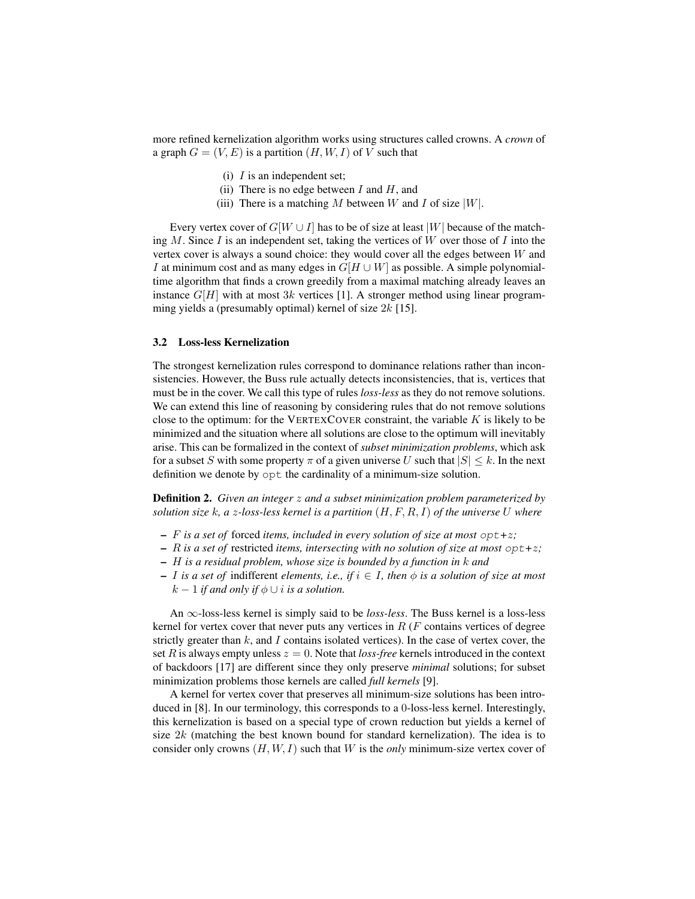more refined kernelization algorithm works using structures called crowns. A *crown* of a graph  $G = (V, E)$  is a partition  $(H, W, I)$  of V such that

- (i)  $I$  is an independent set;
- (ii) There is no edge between  $I$  and  $H$ , and
- (iii) There is a matching M between W and I of size  $|W|$ .

Every vertex cover of  $G[W \cup I]$  has to be of size at least  $|W|$  because of the matching  $M$ . Since  $I$  is an independent set, taking the vertices of  $W$  over those of  $I$  into the vertex cover is always a sound choice: they would cover all the edges between  $W$  and I at minimum cost and as many edges in  $G[H \cup W]$  as possible. A simple polynomialtime algorithm that finds a crown greedily from a maximal matching already leaves an instance  $G[H]$  with at most 3k vertices [1]. A stronger method using linear programming yields a (presumably optimal) kernel of size  $2k$  [15].

#### 3.2 Loss-less Kernelization

The strongest kernelization rules correspond to dominance relations rather than inconsistencies. However, the Buss rule actually detects inconsistencies, that is, vertices that must be in the cover. We call this type of rules *loss-less* as they do not remove solutions. We can extend this line of reasoning by considering rules that do not remove solutions close to the optimum: for the VERTEXCOVER constraint, the variable  $K$  is likely to be minimized and the situation where all solutions are close to the optimum will inevitably arise. This can be formalized in the context of *subset minimization problems*, which ask for a subset S with some property  $\pi$  of a given universe U such that  $|S| \leq k$ . In the next definition we denote by opt the cardinality of a minimum-size solution.

Definition 2. *Given an integer* z *and a subset minimization problem parameterized by solution size* k*, a* z*-loss-less kernel is a partition* (H, F, R, I) *of the universe* U *where*

- F *is a set of* forced *items, included in every solution of size at most* opt*+*z*;*
- R *is a set of* restricted *items, intersecting with no solution of size at most* opt*+*z*;*
- H *is a residual problem, whose size is bounded by a function in* k *and*
- I *is a set of* indifferent *elements, i.e., if* i ∈ I*, then* φ *is a solution of size at most*  $k-1$  *if and only if*  $\phi \cup i$  *is a solution.*

An ∞-loss-less kernel is simply said to be *loss-less*. The Buss kernel is a loss-less kernel for vertex cover that never puts any vertices in  $R$  ( $F$  contains vertices of degree strictly greater than  $k$ , and I contains isolated vertices). In the case of vertex cover, the set R is always empty unless  $z = 0$ . Note that *loss-free* kernels introduced in the context of backdoors [17] are different since they only preserve *minimal* solutions; for subset minimization problems those kernels are called *full kernels* [9].

A kernel for vertex cover that preserves all minimum-size solutions has been introduced in [8]. In our terminology, this corresponds to a 0-loss-less kernel. Interestingly, this kernelization is based on a special type of crown reduction but yields a kernel of size  $2k$  (matching the best known bound for standard kernelization). The idea is to consider only crowns (H, W, I) such that W is the *only* minimum-size vertex cover of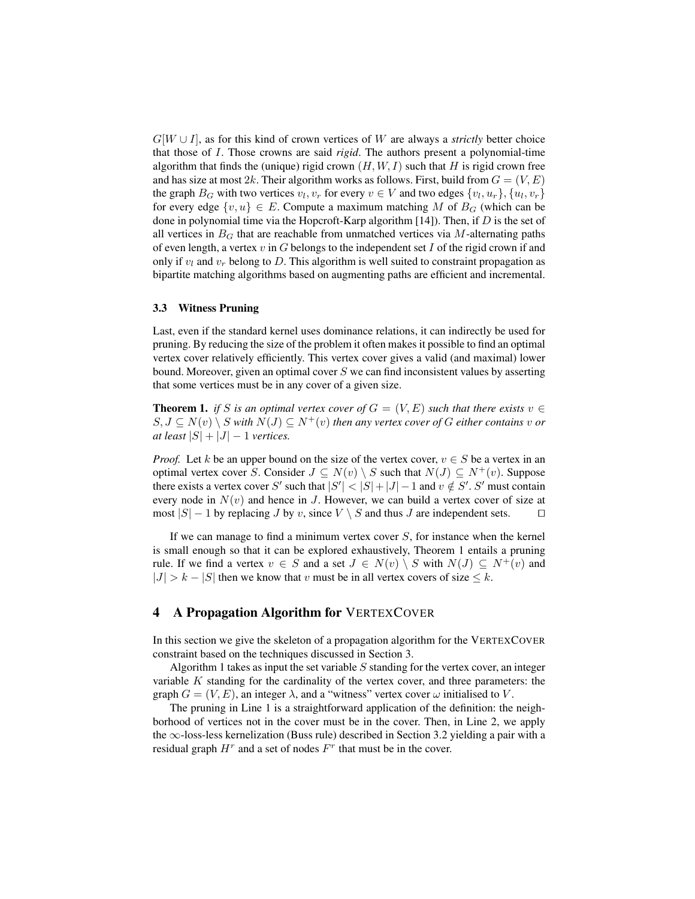G[W ∪ I], as for this kind of crown vertices of W are always a *strictly* better choice that those of I. Those crowns are said *rigid*. The authors present a polynomial-time algorithm that finds the (unique) rigid crown  $(H, W, I)$  such that H is rigid crown free and has size at most 2k. Their algorithm works as follows. First, build from  $G = (V, E)$ the graph  $B_G$  with two vertices  $v_l, v_r$  for every  $v \in V$  and two edges  $\{v_l, u_r\}, \{u_l, v_r\}$ for every edge  $\{v, u\} \in E$ . Compute a maximum matching M of  $B_G$  (which can be done in polynomial time via the Hopcroft-Karp algorithm  $[14]$ ). Then, if  $D$  is the set of all vertices in  $B_G$  that are reachable from unmatched vertices via M-alternating paths of even length, a vertex  $v$  in  $G$  belongs to the independent set  $I$  of the rigid crown if and only if  $v_l$  and  $v_r$  belong to D. This algorithm is well suited to constraint propagation as bipartite matching algorithms based on augmenting paths are efficient and incremental.

#### 3.3 Witness Pruning

Last, even if the standard kernel uses dominance relations, it can indirectly be used for pruning. By reducing the size of the problem it often makes it possible to find an optimal vertex cover relatively efficiently. This vertex cover gives a valid (and maximal) lower bound. Moreover, given an optimal cover  $S$  we can find inconsistent values by asserting that some vertices must be in any cover of a given size.

**Theorem 1.** *if* S *is an optimal vertex cover of*  $G = (V, E)$  *such that there exists*  $v \in$  $S, J \subseteq N(v) \setminus S$  *with*  $N(J) \subseteq N^+(v)$  *then any vertex cover of G either contains v or at least*  $|S| + |J| - 1$  *vertices.* 

*Proof.* Let k be an upper bound on the size of the vertex cover,  $v \in S$  be a vertex in an optimal vertex cover S. Consider  $J \subseteq N(v) \setminus S$  such that  $N(J) \subseteq N^+(v)$ . Suppose there exists a vertex cover S' such that  $|S'| < |S| + |J| - 1$  and  $v \notin S'$ . S' must contain every node in  $N(v)$  and hence in J. However, we can build a vertex cover of size at most  $|S|$  – 1 by replacing *J* by *v*, since *V*  $\setminus$  *S* and thus *J* are independent sets. □

If we can manage to find a minimum vertex cover  $S$ , for instance when the kernel is small enough so that it can be explored exhaustively, Theorem 1 entails a pruning rule. If we find a vertex  $v \in S$  and a set  $J \in N(v) \setminus S$  with  $N(J) \subseteq N^+(v)$  and  $|J| > k - |S|$  then we know that v must be in all vertex covers of size  $\leq k$ .

## 4 A Propagation Algorithm for VERTEXCOVER

In this section we give the skeleton of a propagation algorithm for the VERTEXCOVER constraint based on the techniques discussed in Section 3.

Algorithm 1 takes as input the set variable  $S$  standing for the vertex cover, an integer variable  $K$  standing for the cardinality of the vertex cover, and three parameters: the graph  $G = (V, E)$ , an integer  $\lambda$ , and a "witness" vertex cover  $\omega$  initialised to V.

The pruning in Line 1 is a straightforward application of the definition: the neighborhood of vertices not in the cover must be in the cover. Then, in Line 2, we apply the ∞-loss-less kernelization (Buss rule) described in Section 3.2 yielding a pair with a residual graph  $H^r$  and a set of nodes  $F^r$  that must be in the cover.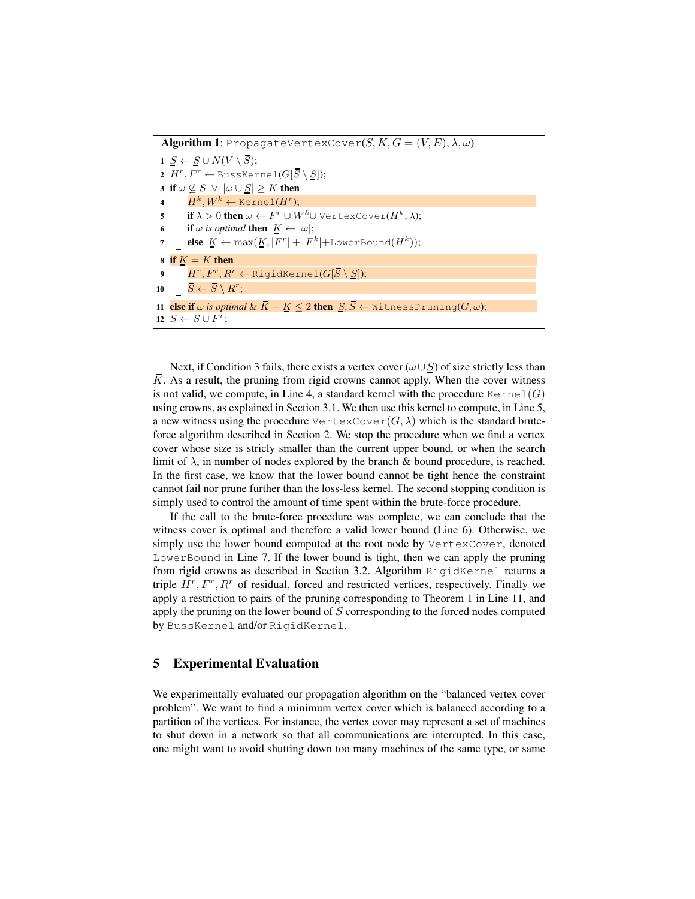**Algorithm 1**: PropagateVertexCover $(S, K, G = (V, E), \lambda, \omega)$ 

| $1 S \leftarrow S \cup N(V \setminus \overline{S});$                                                                                                                  |  |  |  |  |  |  |  |  |  |  |
|-----------------------------------------------------------------------------------------------------------------------------------------------------------------------|--|--|--|--|--|--|--|--|--|--|
| 2 $H^r$ , $F^r$ $\leftarrow$ BussKernel( $G[\overline{S} \setminus S]$ );                                                                                             |  |  |  |  |  |  |  |  |  |  |
| 3 if $\omega \not\subseteq \overline{S} \vee  \omega \cup S  \geq \overline{K}$ then                                                                                  |  |  |  |  |  |  |  |  |  |  |
|                                                                                                                                                                       |  |  |  |  |  |  |  |  |  |  |
| 4 $H^k, W^k \leftarrow \text{Kernel}(H^r);$<br>5 $\text{if } \lambda > 0 \text{ then } \omega \leftarrow F^r \cup W^k \cup \text{VertexCover}(H^k, \lambda);$         |  |  |  |  |  |  |  |  |  |  |
|                                                                                                                                                                       |  |  |  |  |  |  |  |  |  |  |
| 6 if $\omega$ is optimal then $\underline{K} \leftarrow  \omega $ ;<br>7 else $\underline{K} \leftarrow \max(\underline{K},  F^r  +  F^k  + \text{LowerBound}(H^k));$ |  |  |  |  |  |  |  |  |  |  |
| 8 if $K = \overline{K}$ then                                                                                                                                          |  |  |  |  |  |  |  |  |  |  |
| 9 $H^r, F^r, R^r \leftarrow \text{RigidKernel}(G[\overline{S} \setminus \underline{S}]);$                                                                             |  |  |  |  |  |  |  |  |  |  |
| $\begin{array}{ccc} \textbf{10} & \begin{array}{ c c }\end{array} & \bar{S} \leftarrow \bar{S} \setminus R^{r}; \end{array} \end{array}$                              |  |  |  |  |  |  |  |  |  |  |
| 11 else if $\omega$ <i>is optimal</i> $\&$ $\bar K-\underline K\leq 2$ then $\underline S,\bar S\leftarrow$ WitnessPruning( $G,\omega);$                              |  |  |  |  |  |  |  |  |  |  |
| 12 $S \leftarrow S \cup F^r$ ;                                                                                                                                        |  |  |  |  |  |  |  |  |  |  |

Next, if Condition 3 fails, there exists a vertex cover  $(\omega \cup S)$  of size strictly less than  $\overline{K}$ . As a result, the pruning from rigid crowns cannot apply. When the cover witness is not valid, we compute, in Line 4, a standard kernel with the procedure  $\text{Kernel}(G)$ using crowns, as explained in Section 3.1. We then use this kernel to compute, in Line 5, a new witness using the procedure  $\text{VertexCover}(G, \lambda)$  which is the standard bruteforce algorithm described in Section 2. We stop the procedure when we find a vertex cover whose size is stricly smaller than the current upper bound, or when the search limit of  $\lambda$ , in number of nodes explored by the branch & bound procedure, is reached. In the first case, we know that the lower bound cannot be tight hence the constraint cannot fail nor prune further than the loss-less kernel. The second stopping condition is simply used to control the amount of time spent within the brute-force procedure.

If the call to the brute-force procedure was complete, we can conclude that the witness cover is optimal and therefore a valid lower bound (Line 6). Otherwise, we simply use the lower bound computed at the root node by VertexCover, denoted LowerBound in Line 7. If the lower bound is tight, then we can apply the pruning from rigid crowns as described in Section 3.2. Algorithm RigidKernel returns a triple  $H^r$ ,  $F^r$ ,  $R^r$  of residual, forced and restricted vertices, respectively. Finally we apply a restriction to pairs of the pruning corresponding to Theorem 1 in Line 11, and apply the pruning on the lower bound of S corresponding to the forced nodes computed by BussKernel and/or RigidKernel.

## 5 Experimental Evaluation

We experimentally evaluated our propagation algorithm on the "balanced vertex cover problem". We want to find a minimum vertex cover which is balanced according to a partition of the vertices. For instance, the vertex cover may represent a set of machines to shut down in a network so that all communications are interrupted. In this case, one might want to avoid shutting down too many machines of the same type, or same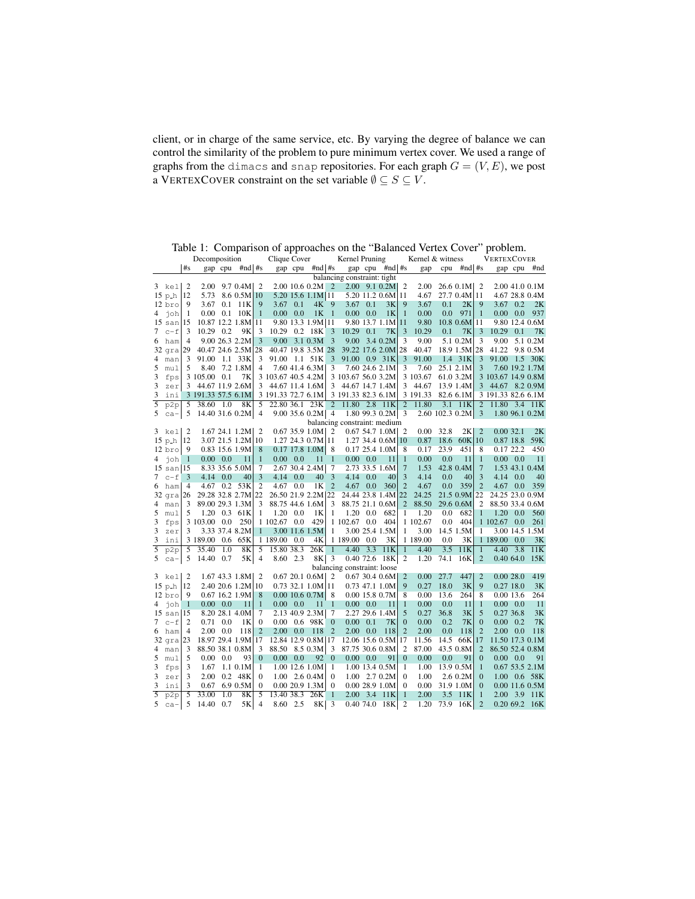client, or in charge of the same service, etc. By varying the degree of balance we can control the similarity of the problem to pure minimum vertex cover. We used a range of graphs from the dimacs and snap repositories. For each graph  $G = (V, E)$ , we post a VERTEXCOVER constraint on the set variable  $\emptyset \subseteq S \subseteq V$ .

|        | Decomposition<br>Clique Cover                                                                                                    |                |                    |                  |                      |                       |                    |                  |                        | Kernel Pruning          |                             |                 |                      | Kernel & witness |          |      |                       | VERTEXCOVER                      |                    |                  |                                  |
|--------|----------------------------------------------------------------------------------------------------------------------------------|----------------|--------------------|------------------|----------------------|-----------------------|--------------------|------------------|------------------------|-------------------------|-----------------------------|-----------------|----------------------|------------------|----------|------|-----------------------|----------------------------------|--------------------|------------------|----------------------------------|
|        |                                                                                                                                  | #s             |                    |                  | gap cpu $#nd$ #s     |                       |                    | gap cpu          | $#nd$ #s               |                         |                             |                 | gap cpu #nd #s       |                  | gap      |      | cpu $\#nd$ #s         |                                  |                    | gap cpu          | #nd                              |
|        |                                                                                                                                  |                |                    |                  |                      |                       |                    |                  |                        |                         | balancing constraint: tight |                 |                      |                  |          |      |                       |                                  |                    |                  |                                  |
|        | 3 kel                                                                                                                            | 2              |                    |                  | $2.00$ 9.7 0.4M   2  |                       |                    |                  | $2.0010.60.2M$ 2       |                         |                             |                 | $2.00$ 9.1 0.2M      | - 2              | 2.00     |      | $26.6$ 0.1M   2       |                                  |                    |                  | 2.00 41.0 0.1M                   |
|        | $15$ p $-h$                                                                                                                      | 12             | 5.73               |                  | 8.6 0.5M             | 10                    |                    |                  | 5.20 15.6 1.1M 11      |                         |                             |                 | 5.20 11.2 0.6M 11    |                  | 4.67     |      | 27.7 0.4M 11          |                                  |                    |                  | 4.67 28.8 0.4M                   |
|        | $12$ bro                                                                                                                         | 9              | 3.67               |                  | $0.1$ 11K            | 9                     | $3.67$ 0.1         |                  | 4K                     | 9                       | 3.67                        | 0.1             | 3K                   | 9                | 3.67     | 0.1  | 2K                    | 9                                | 3.67               | 0.2              | 2K                               |
| 4      | joh                                                                                                                              | -1             |                    | $0.00 \quad 0.1$ | 10K                  | 1                     | $0.00 \quad 0.0$   |                  | 1 <sub>K</sub>         | $\mathbf{1}$            | $0.00 \quad 0.0$            |                 | 1 <sub>K</sub>       | -1               | 0.00     | 0.0  | 971                   | 1                                |                    | $0.00\ 0.0$      | 937                              |
|        | $15 \text{ san } 15$                                                                                                             |                |                    |                  | 10.87 12.2 1.8M      | 11                    |                    |                  | 9.80 13.3 1.9M 11      |                         |                             |                 | 9.80 13.7 1.1M 11    |                  | 9.80     |      | $10.8$ 0.6M 11        |                                  |                    |                  | 9.80 12.4 0.6M                   |
| 7      | $c - f$                                                                                                                          | 3              | 10.29 0.2          |                  | 9K                   | 3                     |                    |                  | 10.29 0.2 18K          | 3                       | 10.29                       | 0.1             | 7K                   | -3               | 10.29    | 0.1  | 7K                    | 3                                | 10.29              | 0.1              | 7K                               |
| 6      | ham                                                                                                                              | $\overline{4}$ |                    |                  | 9.00 26.3 2.2M       | 3                     |                    |                  | $9.00$ 3.1 0.3M        | 3                       | 9.00                        |                 | $3.4 \, 0.2M$        | 3                | 9.00     |      | 5.1 0.2M              | 3                                | 9.00               |                  | 5.1 0.2M                         |
|        | 32 gra 29                                                                                                                        |                | 40.47 24.6 2.5M    |                  |                      | 28                    | 40.47 19.8 3.5M 28 |                  |                        |                         |                             |                 | 39.22 17.6 2.0M      | 28               | 40.47    |      | 18.9 1.5M 28          |                                  | 41.22              |                  | 9.8 0.5M                         |
| 4      | man                                                                                                                              | 3              | 91.00 1.1 33K      |                  |                      | 3                     | 91.00 1.1 51K      |                  |                        | 3                       | 91.00 0.9 31K               |                 |                      | 3                | 91.00    |      | 1.4 31K               | $\mathbf{3}$                     | 91.00              |                  | 1.5 30K                          |
| 5      | mul                                                                                                                              | 5              | 8.40               |                  | 7.2 1.8M             | 4                     |                    |                  | 7.60 41.4 6.3M         | 3                       |                             |                 | 7.60 24.6 2.1M       | 3                | 7.60     |      | 25.1 2.1M             | 3                                |                    |                  | 7.60 19.2 1.7M                   |
| 3      | fps                                                                                                                              |                | 3 105.00 0.1       |                  | 7K                   |                       | 3 103.67 40.5 4.2M |                  |                        |                         | 3 103.67 56.0 3.2M          |                 |                      |                  | 3 103.67 |      | 61.0 3.2M             |                                  | 3 103.67 14.9 0.8M |                  |                                  |
| 3      | zer                                                                                                                              |                | 3 44.67 11.9 2.6M  |                  |                      |                       | 3 44.67 11.4 1.6M  |                  |                        | 3                       | 44.67 14.7 1.4M             |                 |                      | 3                | 44.67    |      | 13.9 1.4M             |                                  | 3 44.67 8.2 0.9M   |                  |                                  |
| 3      | ini                                                                                                                              |                | 3 191.33 57.5 6.1M |                  |                      |                       | 3 191.33 72.7 6.1M |                  |                        |                         | 3 191.33 82.3 6.1M          |                 |                      |                  | 3 191.33 |      | 82.6 6.1M             |                                  | 3 191.33 82.6 6.1M |                  |                                  |
| 5      | p2p                                                                                                                              | 5              | 38.60 1.0          |                  | 8K                   | 5                     | 22.80 36.1 23K     |                  |                        | $\overline{c}$          | 11.80 2.8 11K               |                 |                      | $\overline{2}$   | 11.80    |      | 3.1 11K               | $\overline{2}$                   | 11.80 3.4 11K      |                  |                                  |
| 5      | $ca-$                                                                                                                            | 5              |                    |                  |                      |                       |                    |                  |                        | 4                       |                             |                 |                      | 3                |          |      |                       | 3                                |                    |                  |                                  |
|        | $14.40$ 31.6 0.2M 4<br>$9.00$ 35.6 0.2M<br>$1.80$ 99.3 0.2M<br>2.60 102.3 0.2M<br>1.80 96.1 0.2M<br>balancing constraint: medium |                |                    |                  |                      |                       |                    |                  |                        |                         |                             |                 |                      |                  |          |      |                       |                                  |                    |                  |                                  |
|        | 3 kel                                                                                                                            | $\overline{2}$ |                    |                  | $1.67$ 24.1 $1.2M$ 2 |                       |                    |                  | $0.67$ 35.9 $1.0M$ 2   |                         |                             |                 | $0.67$ 54.7 1.0M   2 |                  | 0.00     | 32.8 | 2K                    | $\overline{2}$                   | 0.0032.1           |                  | 2K                               |
|        | $15$ p $-h$                                                                                                                      | 12             |                    |                  | 3.07 21.5 1.2M       | 10                    |                    |                  | 1.27 24.3 0.7M 11      |                         |                             |                 | 1.27 34.4 0.6M 10    |                  | 0.87     | 18.6 | 60K 10                |                                  |                    | 0.87 18.8        | 59K                              |
|        | $12$ bro                                                                                                                         | 9              |                    |                  | 0.83 15.6 1.9M       | 8                     |                    |                  | $0.17$ 17.8 $1.0M$     | 8                       |                             |                 | $0.17$ 25.4 1.0M     | 8                | 0.17     | 23.9 | 451                   | 8                                | 0.17 22.2          |                  | 450                              |
| 4      | joh                                                                                                                              | -1             |                    | $0.00 \quad 0.0$ | 11                   | $\mathbf{1}$          | $0.00 \quad 0.0$   |                  | 11                     | 1                       | $0.00 \quad 0.0$            |                 | 11                   | $\mathbf{1}$     | 0.00     | 0.0  | 11                    | $\mathbf{1}$                     | $0.00 \quad 0.0$   |                  | 11                               |
|        | $15 \text{ san} \vert 15$                                                                                                        |                |                    |                  | 8.33 35.6 5.0M       | 7                     |                    |                  | 2.67 30.4 2.4M         | 7                       |                             |                 | 2.73 33.5 1.6M       | 7                | 1.53     |      | 42.8 0.4M             | $\overline{7}$                   |                    |                  | 1.53 43.1 0.4M                   |
| 7      | $c - f$                                                                                                                          | 3              | 4.14 0.0           |                  | 40                   | 3                     | 4.14 0.0           |                  | 40                     | 3                       |                             | $4.14\quad 0.0$ | 40                   | 3                | 4.14     | 0.0  | 40                    | 3                                | 4.14               | 0.0              | 40                               |
| 6      | ham                                                                                                                              | $\overline{4}$ |                    |                  | 4.67 0.2 53K         | 2                     | 4.67               | 0.0              | 1 <sub>K</sub>         | $\overline{2}$          | 4.67                        | 0.0             | 360                  | $\overline{2}$   | 4.67     | 0.0  | 359                   | $\overline{2}$                   | 4.67               | 0.0              | 359                              |
|        | $32$ gra $ 26$                                                                                                                   |                | 29.28 32.8 2.7M    |                  |                      | 22                    |                    |                  | 26.50 21.9 2.2M 22     |                         |                             |                 | 24.44 23.8 1.4M 22   |                  | 24.25    |      | 21.5 0.9M             | 22                               | 24.25 23.0 0.9M    |                  |                                  |
| 4      | man                                                                                                                              | 3              | 89.00 29.3 1.3M    |                  |                      | 3                     | 88.75 44.6 1.6M    |                  |                        | 3                       | 88.75 21.1 0.6M             |                 |                      | $\overline{2}$   | 88.50    |      | 29.6 0.6M             | $\overline{2}$                   | 88.50 33.4 0.6M    |                  |                                  |
| 5      | mul                                                                                                                              | 5              |                    |                  | 1.20 0.3 61K         | 1                     |                    | $1.20 \quad 0.0$ | 1 <sub>K</sub>         | 1                       |                             | $1.20\ 0.0$     | 682                  | 1                | 1.20     | 0.0  | 682                   | $\mathbf{1}$                     |                    | $1.20 \quad 0.0$ | 560                              |
| 3      | fps                                                                                                                              |                | 3 103.00 0.0       |                  | 250                  |                       | 1 102.67 0.0       |                  | 429                    |                         | 1 102.67 0.0                |                 | 404                  |                  | 1 102.67 | 0.0  | 404                   |                                  | 1 102.67           | 0.0              | 261                              |
| 3      | zer                                                                                                                              | 3              |                    |                  | 3.33 37.4 8.2M       | 1                     |                    |                  | 3.00 11.6 1.5M         | 1                       |                             |                 | 3.00 25.4 1.5M       | 1                | 3.00     |      | 14.5 1.5M             | 1                                |                    |                  | 3.00 14.5 1.5M                   |
| 3      | ini                                                                                                                              |                | 3 189.00 0.6 65K   |                  |                      |                       | 1 189.00           | 0.0              | 4K                     |                         | 1 189.00 0.0                |                 | 3K                   |                  | 1 189.00 | 0.0  | 3K                    |                                  | 1 189.00 0.0       |                  | 3K                               |
| 5      | p2p                                                                                                                              | 5              | 35.40              | 1.0              | 8K                   | 5                     | 15.80 38.3         |                  | 26K                    | $\mathbf{1}$            | 4.40                        | 3.3             | 11K                  | $\mathbf{1}$     | 4.40     | 3.5  | 11K                   | 1                                | 4.40               | 3.8              | 11K                              |
| 5      | $ca-$                                                                                                                            | 5              | 14.40 0.7          |                  | 5K                   | $\overline{4}$        | 8.60 2.3           |                  | 8K                     | $\overline{\mathbf{3}}$ |                             |                 | 0.40 72.6 18K        | 2                | 1.20     | 74.1 | 16K                   | $\overline{2}$                   |                    | 0.40 64.0        | 15K                              |
|        |                                                                                                                                  |                |                    |                  |                      |                       |                    |                  |                        |                         | balancing constraint: loose |                 |                      |                  |          |      |                       |                                  |                    |                  |                                  |
|        | 3 kel                                                                                                                            | $\overline{2}$ |                    |                  | $1.67$ 43.3 $1.8M$ 2 |                       |                    |                  | 0.6720.10.6M           | $\overline{2}$          |                             |                 | 0.67, 30.4, 0.6M     | 2                | 0.00     | 27.7 | 447                   | $\overline{2}$                   |                    | 0.0028.0         | 419                              |
|        | $15$ p <sub>-h</sub>                                                                                                             | 12             |                    |                  | 2.40 20.6 1.2M       | 10                    |                    |                  | $0.73$ 32.1 1.0M 11    |                         |                             |                 | 0.73 47.1 1.0M       | 9                | 0.27     | 18.0 | 3K                    | 9                                |                    | 0.2718.0         | 3K                               |
|        | $12~\mathrm{bro}$                                                                                                                | 9              |                    |                  | 0.67 16.2 1.9M       | 8                     |                    |                  | 0.0010.60.7M           | 8                       |                             |                 | 0.0015.80.7M         | 8                | 0.00     | 13.6 | 264                   | 8                                | 0.00 13.6          |                  | 264                              |
| 4      | joh                                                                                                                              | $\mathbf{1}$   | $0.00 \quad 0.0$   |                  | 11                   | $\mathbf{1}$          | $0.00 \quad 0.0$   |                  | 11                     | $\mathbf{1}$            | $0.00 \quad 0.0$            |                 | 11                   | $\mathbf{1}$     | 0.00     | 0.0  | 11                    | $\mathbf{1}$                     |                    | $0.00 \quad 0.0$ | 11                               |
|        | $15$ san $ 15$                                                                                                                   |                |                    |                  | 8.20 28.1 4.0M       | 7                     |                    |                  | 2.13 40.9 2.3M         | 7                       |                             |                 | 2.27 29.6 1.4M       | 5                | 0.27     | 36.8 | 3K                    | 5                                | 0.27 36.8          |                  | 3K                               |
| 7      | $c - f$                                                                                                                          | $\overline{2}$ |                    | $0.71 \quad 0.0$ | 1Κ                   | $\boldsymbol{0}$      |                    |                  | $0.00$ $0.6$ $98K$     | $\overline{0}$          | $0.00 \quad 0.1$            |                 | 7K                   | $\mathbf{0}$     | 0.00     | 0.2  | 7K                    | $\boldsymbol{0}$                 | 0.00               | 0.2              | <b>7K</b>                        |
| 6      | ham                                                                                                                              | $\overline{4}$ |                    | $2.00 \quad 0.0$ | 118                  | $\overline{2}$        | 2.00               | 0.0              | 118                    | $\overline{c}$          | 2.00                        | 0.0             | 118                  | $\overline{2}$   | 2.00     | 0.0  | 118                   | $\overline{2}$                   | 2.00               | 0.0              | 118                              |
|        | $32$ qra $ 23 $                                                                                                                  |                | 18.97 29.4 1.9M    |                  |                      | 17                    |                    |                  | 12.84 12.9 0.8M 17     |                         |                             |                 | 12.06 15.6 0.5M      | 17               | 11.56    | 14.5 | 66K                   | 17                               | 11.50 17.3 0.1M    |                  |                                  |
|        |                                                                                                                                  |                |                    |                  |                      |                       |                    |                  |                        | 3                       |                             |                 |                      | $\overline{c}$   |          |      |                       | $\overline{2}$                   |                    |                  |                                  |
| 4<br>5 | man                                                                                                                              | 3              | 88.50 38.1 0.8M    |                  |                      | 3                     | 88.50 8.5 0.3M     |                  |                        |                         | 87.75 30.6 0.8M             |                 |                      | $\mathbf{0}$     | 87.00    |      | 43.5 0.8M             |                                  | 86.50 52.4 0.8M    |                  |                                  |
|        | mul                                                                                                                              | 5              | $0.00 \quad 0.0$   |                  | 93                   | $\boldsymbol{0}$<br>1 | $0.00 \quad 0.0$   |                  | 92                     | $\boldsymbol{0}$<br>1   | $0.00 \quad 0.0$            |                 | 91                   | 1                | 0.00     | 0.0  | 91                    | $\boldsymbol{0}$<br>$\mathbf{1}$ | $0.00 \quad 0.0$   |                  | 91                               |
| 3<br>3 | fps                                                                                                                              | 3<br>3         | 1.67<br>2.00       |                  | 1.1 0.1M<br>0.2 48K  | $\boldsymbol{0}$      |                    |                  | 1.00 12.6 1.0M         | 0                       |                             |                 | 1.00 13.4 0.5M       | $\mathbf{0}$     | 1.00     |      | 13.9 0.5M<br>2.6 0.2M | $\boldsymbol{0}$                 |                    |                  | $0.67$ 53.5 2.1M<br>1.00 0.6 58K |
|        | zer                                                                                                                              |                |                    |                  |                      |                       |                    |                  | $1.00\quad 2.6\; 0.4M$ |                         |                             |                 | $1.00$ 2.7 0.2M      |                  | 1.00     |      |                       |                                  |                    |                  |                                  |
| 3      | ini                                                                                                                              | 3              | 0.67               |                  | 6.9 0.5M             | $\mathbf{0}$          |                    |                  | 0.00 20.9 1.3M         | 0<br>$\mathbf{1}$       |                             |                 | 0.0028.91.0M         | $\mathbf{0}$     | 0.00     |      | 31.9 1.0M             | $\bf{0}$                         |                    |                  | 0.0011.60.5M                     |
| 5      | p2p                                                                                                                              | 5              | 33.00              | 1.0              | 8K                   | 5                     | 13.40 38.3         |                  | 26K                    |                         | 2.00                        | 3.4             | 11K                  | $\mathbf{1}$     | 2.00     | 3.5  | 11K                   | $\mathbf{1}$                     | 2.00               | 3.9              | 11K                              |
| 5      | $ca-$                                                                                                                            | 5              | 14.40 0.7          |                  | 5K                   | $\overline{4}$        | 8.60 2.5           |                  | 8K                     | 3                       |                             |                 | 0.40 74.0 18K        | $\overline{2}$   | 1.20     |      | 73.9 16K              | $\overline{2}$                   |                    |                  | 0.20 69.2 16K                    |

Table 1: Comparison of approaches on the "Balanced Vertex Cover" problem.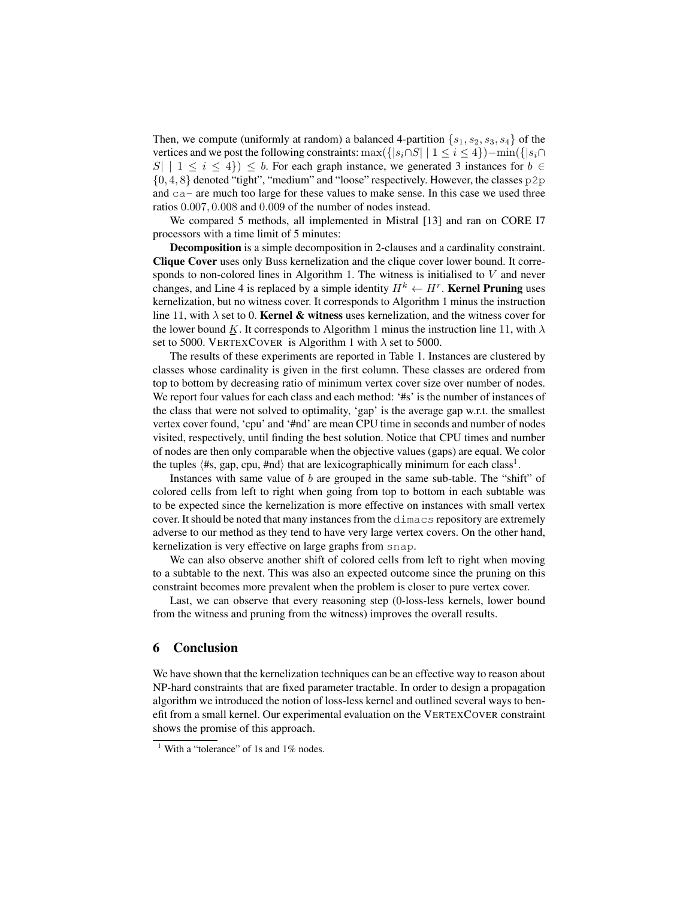Then, we compute (uniformly at random) a balanced 4-partition  $\{s_1, s_2, s_3, s_4\}$  of the vertices and we post the following constraints: max( $\{|s_i \cap S| \mid 1 \le i \le 4\}$ ) – min( $\{|s_i \cap S| \mid 1 \le i \le 4\}$ )  $|S|$  |  $1 \le i \le 4$ }  $\le b$ . For each graph instance, we generated 3 instances for  $b \in \mathbb{R}$ {0, 4, 8} denoted "tight", "medium" and "loose" respectively. However, the classes p2p and ca- are much too large for these values to make sense. In this case we used three ratios 0.007, 0.008 and 0.009 of the number of nodes instead.

We compared 5 methods, all implemented in Mistral [13] and ran on CORE I7 processors with a time limit of 5 minutes:

Decomposition is a simple decomposition in 2-clauses and a cardinality constraint. Clique Cover uses only Buss kernelization and the clique cover lower bound. It corresponds to non-colored lines in Algorithm 1. The witness is initialised to V and never changes, and Line 4 is replaced by a simple identity  $H^k \leftarrow H^r$ . Kernel Pruning uses kernelization, but no witness cover. It corresponds to Algorithm 1 minus the instruction line 11, with  $\lambda$  set to 0. **Kernel & witness** uses kernelization, and the witness cover for the lower bound K. It corresponds to Algorithm 1 minus the instruction line 11, with  $\lambda$ set to 5000. VERTEXCOVER is Algorithm 1 with  $\lambda$  set to 5000.

The results of these experiments are reported in Table 1. Instances are clustered by classes whose cardinality is given in the first column. These classes are ordered from top to bottom by decreasing ratio of minimum vertex cover size over number of nodes. We report four values for each class and each method: '#s' is the number of instances of the class that were not solved to optimality, 'gap' is the average gap w.r.t. the smallest vertex cover found, 'cpu' and '#nd' are mean CPU time in seconds and number of nodes visited, respectively, until finding the best solution. Notice that CPU times and number of nodes are then only comparable when the objective values (gaps) are equal. We color the tuples  $\langle #s, gap, cpu, \text{#nd} \rangle$  that are lexicographically minimum for each class<sup>1</sup>.

Instances with same value of b are grouped in the same sub-table. The "shift" of colored cells from left to right when going from top to bottom in each subtable was to be expected since the kernelization is more effective on instances with small vertex cover. It should be noted that many instances from the dimacs repository are extremely adverse to our method as they tend to have very large vertex covers. On the other hand, kernelization is very effective on large graphs from snap.

We can also observe another shift of colored cells from left to right when moving to a subtable to the next. This was also an expected outcome since the pruning on this constraint becomes more prevalent when the problem is closer to pure vertex cover.

Last, we can observe that every reasoning step (0-loss-less kernels, lower bound from the witness and pruning from the witness) improves the overall results.

#### 6 Conclusion

We have shown that the kernelization techniques can be an effective way to reason about NP-hard constraints that are fixed parameter tractable. In order to design a propagation algorithm we introduced the notion of loss-less kernel and outlined several ways to benefit from a small kernel. Our experimental evaluation on the VERTEXCOVER constraint shows the promise of this approach.

<sup>&</sup>lt;sup>1</sup> With a "tolerance" of 1s and 1% nodes.